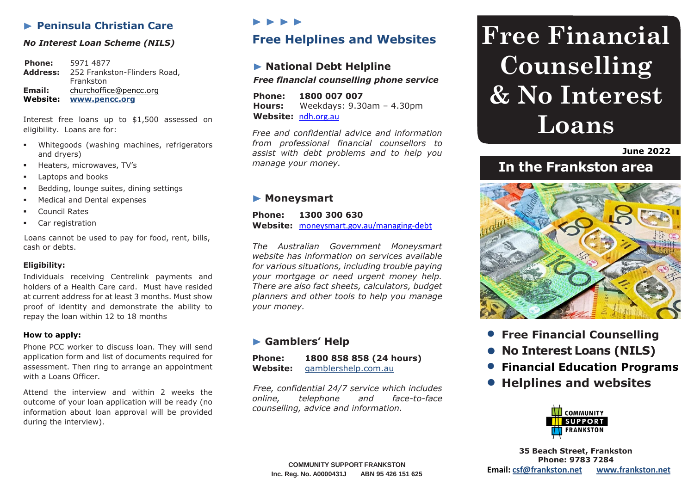# **Peninsula Christian Care**

#### *No Interest Loan Scheme (NILS)*

**Phone:** 5971 4877 **Address:** 252 Frankston-Flinders Road, Frankston **Email:** [churchoffice@pencc.org](mailto:churchoffice@pencc.org) **Website: [www.pencc.org](http://www.pencc.org/)**

Interest free loans up to \$1,500 assessed on eligibility. Loans are for:

- **Whitegoods (washing machines, refrigerators** and dryers)
- Heaters, microwaves, TV's
- **Laptops and books**
- **Bedding, lounge suites, dining settings**
- **Medical and Dental expenses**
- Council Rates
- Car registration

Loans cannot be used to pay for food, rent, bills, cash or debts.

#### **Eligibility:**

Individuals receiving Centrelink payments and holders of a Health Care card. Must have resided at current address for at least 3 months. Must show proof of identity and demonstrate the ability to repay the loan within 12 to 18 months

#### **How to apply:**

Phone PCC worker to discuss loan. They will send application form and list of documents required for assessment. Then ring to arrange an appointment with a Loans Officer.

Attend the interview and within 2 weeks the outcome of your loan application will be ready (no information about loan approval will be provided during the interview).

# $\blacktriangleright\blacktriangleright\blacktriangleright\blacktriangleright$

# **Free Helplines and Websites**

# **National Debt Helpline** *Free financial counselling phone service*

**Phone: 1800 007 007 Hours:** Weekdays: 9.30am – 4.30pm **Website:** [ndh.org.au](http://www.ndh.org.au/)

*Free and confidential advice and information from professional financial counsellors to assist with debt problems and to help you manage your money.*

### **Moneysmart**

**Phone: 1300 300 630 Website:** [moneysmart.gov.au/managing-debt](https://moneysmart.gov.au/managing-debt)

*The Australian Government Moneysmart website has information on services available for various situations, including trouble paying your mortgage or need urgent money help. There are also fact sheets, calculators, budget planners and other tools to help you manage your money.*

# **Gamblers' Help**

| <b>Phone:</b> | 1800 858 858 (24 hours) |
|---------------|-------------------------|
| Website:      | gamblershelp.com.au     |

*Free, confidential 24/7 service which includes online, telephone and face-to-face counselling, advice and information.*

# **Free Financial Counselling & No Interest Loans**

**June 2022**

# **In the Frankston area**



- **Free Financial Counselling**
- **No Interest Loans (NILS)**
- **Financial Education Programs**
- **Helplines and websites**



**35 Beach Street, Frankston Phone: 9783 7284 Email: [csf@frankston.net](mailto:csf@frankston.net) [www.frankston.net](http://www.frankston.net/)**